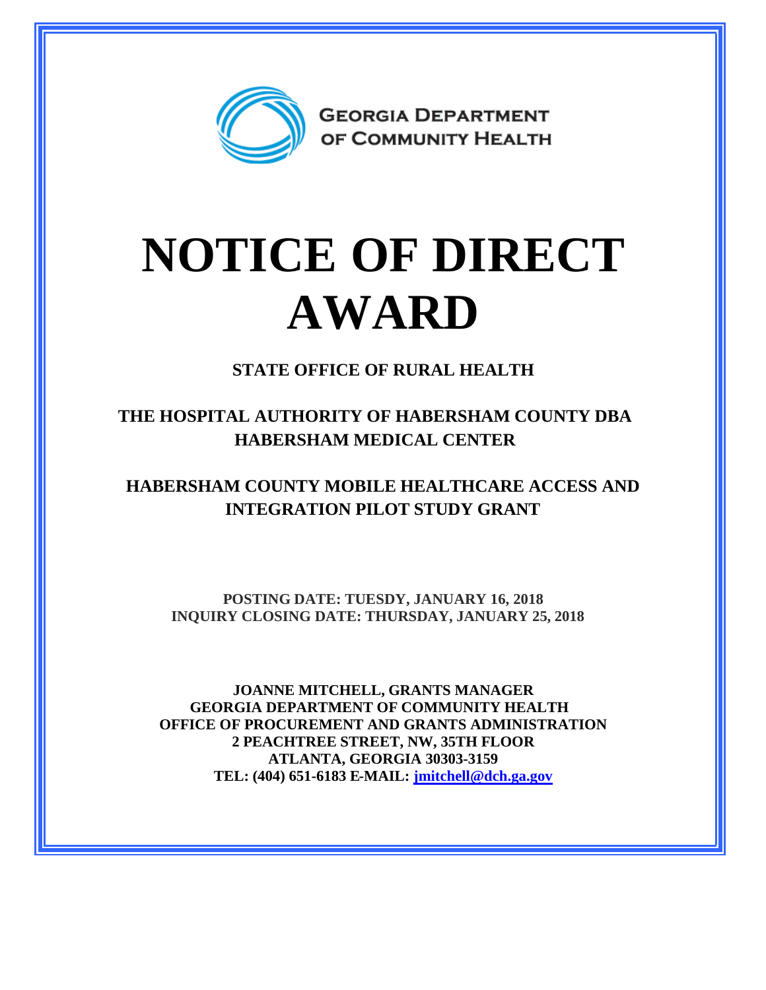

## **NOTICE OF DIRECT AWARD**

**STATE OFFICE OF RURAL HEALTH**

**THE HOSPITAL AUTHORITY OF HABERSHAM COUNTY DBA HABERSHAM MEDICAL CENTER**

**HABERSHAM COUNTY MOBILE HEALTHCARE ACCESS AND INTEGRATION PILOT STUDY GRANT**

**POSTING DATE: TUESDY, JANUARY 16, 2018 INQUIRY CLOSING DATE: THURSDAY, JANUARY 25, 2018**

**JOANNE MITCHELL, GRANTS MANAGER GEORGIA DEPARTMENT OF COMMUNITY HEALTH OFFICE OF PROCUREMENT AND GRANTS ADMINISTRATION 2 PEACHTREE STREET, NW, 35TH FLOOR ATLANTA, GEORGIA 30303-3159 TEL: (404) 651-6183 E-MAIL: [jmitchell@dch.ga.gov](mailto:jmitchell@dch.ga.gov)**